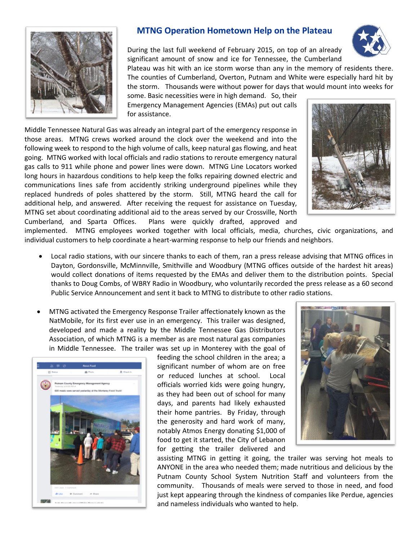

## **MTNG Operation Hometown Help on the Plateau**

During the last full weekend of February 2015, on top of an already significant amount of snow and ice for Tennessee, the Cumberland

Plateau was hit with an ice storm worse than any in the memory of residents there. The counties of Cumberland, Overton, Putnam and White were especially hard hit by the storm. Thousands were without power for days that would mount into weeks for

some. Basic necessities were in high demand. So, their Emergency Management Agencies (EMAs) put out calls for assistance.

Middle Tennessee Natural Gas was already an integral part of the emergency response in those areas. MTNG crews worked around the clock over the weekend and into the following week to respond to the high volume of calls, keep natural gas flowing, and heat going. MTNG worked with local officials and radio stations to reroute emergency natural gas calls to 911 while phone and power lines were down. MTNG Line Locators worked long hours in hazardous conditions to help keep the folks repairing downed electric and communications lines safe from accidently striking underground pipelines while they replaced hundreds of poles shattered by the storm. Still, MTNG heard the call for additional help, and answered. After receiving the request for assistance on Tuesday, MTNG set about coordinating additional aid to the areas served by our Crossville, North Cumberland, and Sparta Offices. Plans were quickly drafted, approved and



implemented. MTNG employees worked together with local officials, media, churches, civic organizations, and individual customers to help coordinate a heart-warming response to help our friends and neighbors.

- Local radio stations, with our sincere thanks to each of them, ran a press release advising that MTNG offices in Dayton, Gordonsville, McMinnville, Smithville and Woodbury (MTNG offices outside of the hardest hit areas) would collect donations of items requested by the EMAs and deliver them to the distribution points. Special thanks to Doug Combs, of WBRY Radio in Woodbury, who voluntarily recorded the press release as a 60 second Public Service Announcement and sent it back to MTNG to distribute to other radio stations.
- MTNG activated the Emergency Response Trailer affectionately known as the NatMobile, for its first ever use in an emergency. This trailer was designed, developed and made a reality by the Middle Tennessee Gas Distributors Association, of which MTNG is a member as are most natural gas companies in Middle Tennessee. The trailer was set up in Monterey with the goal of



feeding the school children in the area; a significant number of whom are on free or reduced lunches at school. Local officials worried kids were going hungry, as they had been out of school for many days, and parents had likely exhausted their home pantries. By Friday, through the generosity and hard work of many, notably Atmos Energy donating \$1,000 of food to get it started, the City of Lebanon for getting the trailer delivered and



assisting MTNG in getting it going, the trailer was serving hot meals to ANYONE in the area who needed them; made nutritious and delicious by the Putnam County School System Nutrition Staff and volunteers from the community. Thousands of meals were served to those in need, and food just kept appearing through the kindness of companies like Perdue, agencies and nameless individuals who wanted to help.